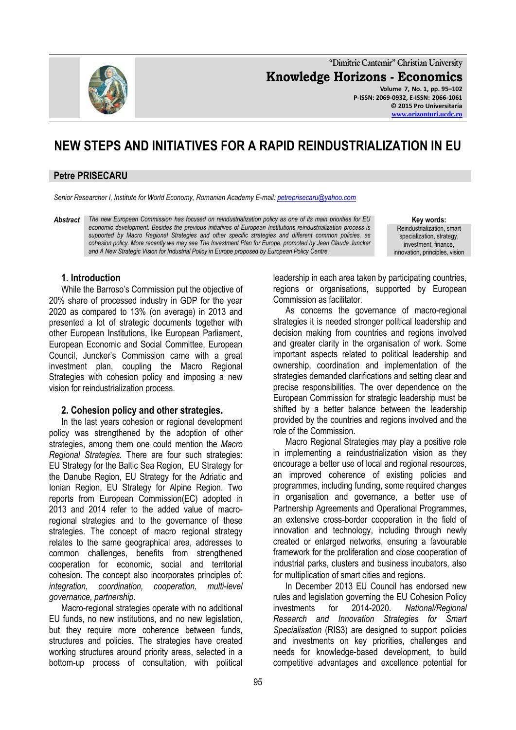**"Dimitrie Cantemir" Christian University Knowledge Horizons - Economics Volume 7, No. 1, pp. 95–102 P-ISSN: 2069-0932, E-ISSN: 2066-1061 © 2015 Pro Universitaria**

# **NEW STEPS AND INITIATIVES FOR A RAPID REINDUSTRIALIZATION IN EU**

### **Petre PRISECARU**

*Senior Researcher I, Institute for World Economy, Romanian Academy E-mail[: petreprisecaru@yahoo.com](mailto:petreprisecaru@yahoo.com)*

*Abstract The new European Commission has focused on reindustrialization policy as one of its main priorities for EU economic development. Besides the previous initiatives of European Institutions reindustrialization process is supported by Macro Regional Strategies and other specific strategies and different common policies, as cohesion policy. More recently we may see The Investment Plan for Europe, promoted by Jean Claude Juncker and A New Strategic Vision for Industrial Policy in Europe proposed by European Policy Centre.*

**Key words:** Reindustrialization, smart specialization, strategy, investment, finance innovation, principles, vision

**[www.orizonturi.ucdc.ro](http://www.orizonturi.ucdc.ro/)**

#### **1. Introduction**

While the Barroso's Commission put the objective of 20% share of processed industry in GDP for the year 2020 as compared to 13% (on average) in 2013 and presented a lot of strategic documents together with other European Institutions, like European Parliament, European Economic and Social Committee, European Council, Juncker's Commission came with a great investment plan, coupling the Macro Regional Strategies with cohesion policy and imposing a new vision for reindustrialization process.

#### **2. Cohesion policy and other strategies.**

In the last years cohesion or regional development policy was strengthened by the adoption of other strategies, among them one could mention the *Macro Regional Strategies.* There are four such strategies: EU [Strategy](http://ec.europa.eu/regional_policy/en/policy/cooperation/macro-regional-strategies/baltic-sea/) for the Baltic Sea Region, EU [Strategy](http://ec.europa.eu/regional_policy/en/policy/cooperation/macro-regional-strategies/danube/) for the [Danube](http://ec.europa.eu/regional_policy/en/policy/cooperation/macro-regional-strategies/danube/) Region, EU [Strategy](http://ec.europa.eu/regional_policy/en/policy/cooperation/macro-regional-strategies/adriatic-ionian/) for the Adriatic and Ionian [Region,](http://ec.europa.eu/regional_policy/en/policy/cooperation/macro-regional-strategies/adriatic-ionian/) EU Strategy for Alpine Region. Two reports from European Commission(EC) adopted in 2013 and 2014 refer to the added value of macroregional strategies and to the governance of these strategies. The concept of macro regional strategy relates to the same geographical area, addresses to common challenges, benefits from strengthened cooperation for economic, social and territorial cohesion. The concept also incorporates principles of: *integration, coordination, cooperation, multi-level governance, partnership.*

Macro-regional strategies operate with no additional EU funds, no new institutions, and no new legislation, but they require more coherence between funds, structures and policies. The strategies have created working structures around priority areas, selected in a bottom-up process of consultation, with political

leadership in each area taken by participating countries, regions or organisations, supported by European Commission as facilitator.

As concerns the governance of macro-regional strategies it is needed stronger political leadership and decision making from countries and regions involved and greater clarity in the organisation of work. Some important aspects related to political leadership and ownership, coordination and implementation of the strategies demanded clarifications and setting clear and precise responsibilities. The over dependence on the European Commission for strategic leadership must be shifted by a better balance between the leadership provided by the countries and regions involved and the role of the Commission.

Macro Regional Strategies may play a positive role in implementing a reindustrialization vision as they encourage a better use of local and regional resources, an improved coherence of existing policies and programmes, including funding, some required changes in organisation and governance, a better use of Partnership Agreements and Operational Programmes, an extensive cross-border cooperation in the field of innovation and technology, including through newly created or enlarged networks, ensuring a favourable framework for the proliferation and close cooperation of industrial parks, clusters and business incubators, also for multiplication of smart cities and regions.

In December 2013 EU Council has endorsed new rules and legislation governing the EU Cohesion Policy investments for 2014-2020. *National/Regional Research and Innovation Strategies for Smart Specialisation* (RIS3) are designed to support policies and investments on key priorities, challenges and needs for knowledge-based development, to build competitive advantages and excellence potential for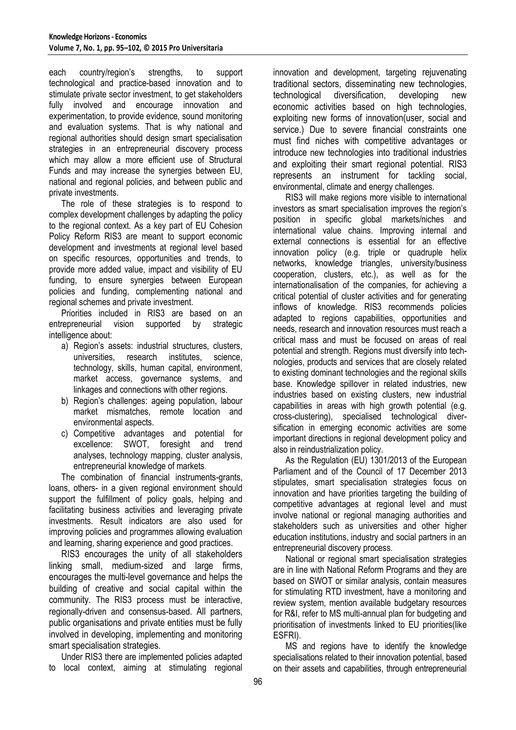each country/region's strengths, to support technological and practice-based innovation and to stimulate private sector investment, to get stakeholders fully involved and encourage innovation and experimentation, to provide evidence, sound monitoring and evaluation systems. That is why national and regional authorities should design smart specialisation strategies in an entrepreneurial discovery process which may allow a more efficient use of Structural Funds and may increase the synergies between EU, national and regional policies, and between public and private investments.

The role of these strategies is to respond to complex development challenges by adapting the policy to the regional context. As a key part of EU Cohesion Policy Reform RIS3 are meant to support economic development and investments at regional level based on specific resources, opportunities and trends, to provide more added value, impact and visibility of EU funding, to ensure synergies between European policies and funding, complementing national and regional schemes and private investment.

Priorities included in RIS3 are based on an entrepreneurial vision supported by strategic intelligence about:

- a) Region's assets: industrial structures, clusters, universities, research institutes, science, technology, skills, human capital, environment, market access, governance systems, and linkages and connections with other regions.
- b) Region's challenges: ageing population, labour market mismatches, remote location and environmental aspects.
- c) Competitive advantages and potential for excellence: SWOT, foresight and trend analyses, technology mapping, cluster analysis, entrepreneurial knowledge of markets.

The combination of financial instruments-grants, loans, others- in a given regional environment should support the fulfillment of policy goals, helping and facilitating business activities and leveraging private investments. Result indicators are also used for improving policies and programmes allowing evaluation and learning, sharing experience and good practices.

RIS3 encourages the unity of all stakeholders linking small, medium-sized and large firms, encourages the multi-level governance and helps the building of creative and social capital within the community. The RIS3 process must be interactive, regionally-driven and consensus-based. All partners, public organisations and private entities must be fully involved in developing, implementing and monitoring smart specialisation strategies.

Under RIS3 there are implemented policies adapted to local context, aiming at stimulating regional innovation and development, targeting rejuvenating traditional sectors, disseminating new technologies, technological diversification, developing new economic activities based on high technologies, exploiting new forms of innovation(user, social and service.) Due to severe financial constraints one must find niches with competitive advantages or introduce new technologies into traditional industries and exploiting their smart regional potential. RIS3 represents an instrument for tackling social, environmental, climate and energy challenges.

RIS3 will make regions more visible to international investors as smart specialisation improves the region's position in specific global markets/niches and international value chains. Improving internal and external connections is essential for an effective innovation policy (e.g. triple or quadruple helix networks, knowledge triangles, university/business cooperation, clusters, etc.), as well as for the internationalisation of the companies, for achieving a critical potential of cluster activities and for generating inflows of knowledge. RIS3 recommends policies adapted to regions capabilities, opportunities and needs, research and innovation resources must reach a critical mass and must be focused on areas of real potential and strength. Regions must diversify into technologies, products and services that are closely related to existing dominant technologies and the regional skills base. Knowledge spillover in related industries, new industries based on existing clusters, new industrial capabilities in areas with high growth potential (e.g. cross-clustering), specialised technological diversification in emerging economic activities are some important directions in regional development policy and also in reindustrialization policy.

As the Regulation (EU) 1301/2013 of the European Parliament and of the Council of 17 December 2013 stipulates, smart specialisation strategies focus on innovation and have priorities targeting the building of competitive advantages at regional level and must involve national or regional managing authorities and stakeholders such as universities and other higher education institutions, industry and social partners in an entrepreneurial discovery process.

National or regional smart specialisation strategies are in line with National Reform Programs and they are based on SWOT or similar analysis, contain measures for stimulating RTD investment, have a monitoring and review system, mention available budgetary resources for R&I, refer to MS multi-annual plan for budgeting and prioritisation of investments linked to EU priorities(like ESFRI).

MS and regions have to identify the knowledge specialisations related to their innovation potential, based on their assets and capabilities, through entrepreneurial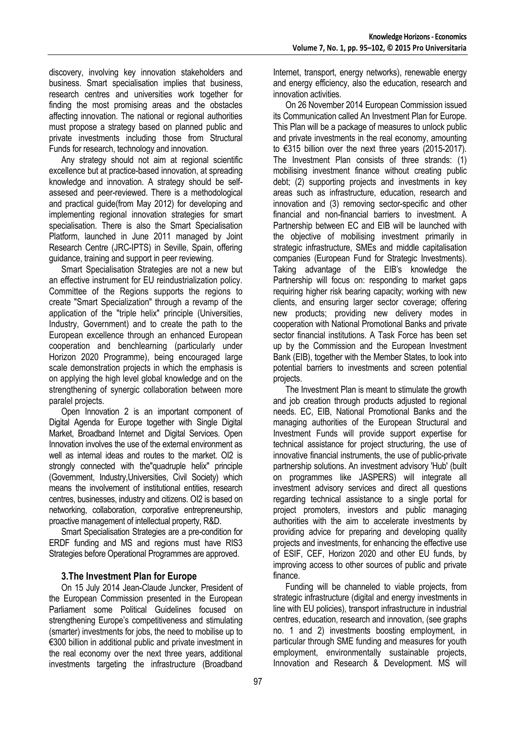discovery, involving key innovation stakeholders and business. Smart specialisation implies that business, research centres and universities work together for finding the most promising areas and the obstacles affecting innovation. The national or regional authorities must propose a strategy based on planned public and private investments including those from Structural Funds for research, technology and innovation.

Any strategy should not aim at regional scientific excellence but at practice-based innovation, at spreading knowledge and innovation. A strategy should be selfassesed and peer-reviewed. There is a methodological and practical guide(from May 2012) for developing and implementing regional innovation strategies for smart specialisation. There is also the Smart Specialisation Platform, launched in June 2011 managed by Joint Research Centre (JRC-IPTS) in Seville, Spain, offering guidance, training and support in peer reviewing.

Smart Specialisation Strategies are not a new but an effective instrument for EU reindustrialization policy. Committee of the Regions supports the regions to create "Smart Specialization" through a revamp of the application of the "triple helix" principle (Universities, Industry, Government) and to create the path to the European excellence through an enhanced European cooperation and benchlearning (particularly under Horizon 2020 Programme), being encouraged large scale demonstration projects in which the emphasis is on applying the high level global knowledge and on the strengthening of synergic collaboration between more paralel projects.

Open Innovation 2 is an important component of Digital Agenda for Europe together with Single Digital Market, Broadband Internet and Digital Services. Open Innovation involves the use of the external environment as well as internal ideas and routes to the market. OI2 is strongly connected with the"quadruple helix" principle (Government, Industry,Universities, Civil Society) which means the involvement of institutional entities, research centres, businesses, industry and citizens. OI2 is based on networking, collaboration, corporative entrepreneurship, proactive management of intellectual property, R&D.

Smart Specialisation Strategies are a pre-condition for ERDF funding and MS and regions must have RIS3 Strategies before Operational Programmes are approved.

# **3.The Investment Plan for Europe**

On 15 July 2014 Jean-Claude Juncker, President of the European Commission presented in the European Parliament some Political Guidelines focused on strengthening Europe's competitiveness and stimulating (smarter) investments for jobs, the need to mobilise up to €300 billion in additional public and private investment in the real economy over the next three years, additional investments targeting the infrastructure (Broadband

Internet, transport, energy networks), renewable energy and energy efficiency, also the education, research and innovation activities.

On 26 November 2014 European Commission issued its Communication called An Investment Plan for Europe. This Plan will be a package of measures to unlock public and private investments in the real economy, amounting to €315 billion over the next three years (2015-2017). The Investment Plan consists of three strands: (1) mobilising investment finance without creating public debt; (2) supporting projects and investments in key areas such as infrastructure, education, research and innovation and (3) removing sector-specific and other financial and non-financial barriers to investment. A Partnership between EC and EIB will be launched with the objective of mobilising investment primarily in strategic infrastructure, SMEs and middle capitalisation companies (European Fund for Strategic Investments). Taking advantage of the EIB's knowledge the Partnership will focus on: responding to market gaps requiring higher risk bearing capacity; working with new clients, and ensuring larger sector coverage; offering new products; providing new delivery modes in cooperation with National Promotional Banks and private sector financial institutions. A Task Force has been set up by the Commission and the European Investment Bank (EIB), together with the Member States, to look into potential barriers to investments and screen potential projects.

The Investment Plan is meant to stimulate the growth and job creation through products adjusted to regional needs. EC, EIB, National Promotional Banks and the managing authorities of the European Structural and Investment Funds will provide support expertise for technical assistance for project structuring, the use of innovative financial instruments, the use of public-private partnership solutions. An investment advisory 'Hub' (built on programmes like JASPERS) will integrate all investment advisory services and direct all questions regarding technical assistance to a single portal for project promoters, investors and public managing authorities with the aim to accelerate investments by providing advice for preparing and developing quality projects and investments, for enhancing the effective use of ESIF, CEF, Horizon 2020 and other EU funds, by improving access to other sources of public and private finance.

Funding will be channeled to viable projects, from strategic infrastructure (digital and energy investments in line with EU policies), transport infrastructure in industrial centres, education, research and innovation, (see graphs no. 1 and 2) investments boosting employment, in particular through SME funding and measures for youth employment, environmentally sustainable projects, Innovation and Research & Development. MS will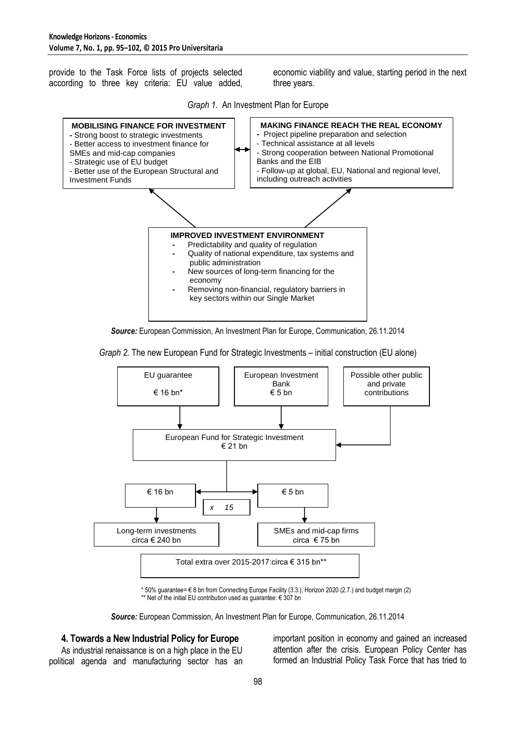provide to the Task Force lists of projects selected according to three key criteria: EU value added,

economic viability and value, starting period in the next three years.





*Source:* European Commission, An Investment Plan for Europe, Communication, 26.11.2014

#### *Graph 2.* The new European Fund for Strategic Investments – initial construction (EU alone)



\* 50% guarantee= € 8 bn from Connecting Europe Facility (3.3.), Horizon 2020 (2.7.) and budget margin (2) \*\* Net of the initial EU contribution used as guarantee: € 307 bn

*Source:* European Commission, An Investment Plan for Europe, Communication, 26.11.2014

## **4. Towards a New Industrial Policy for Europe**

As industrial renaissance is on a high place in the EU political agenda and manufacturing sector has an

important position in economy and gained an increased attention after the crisis. European Policy Center has formed an Industrial Policy Task Force that has tried to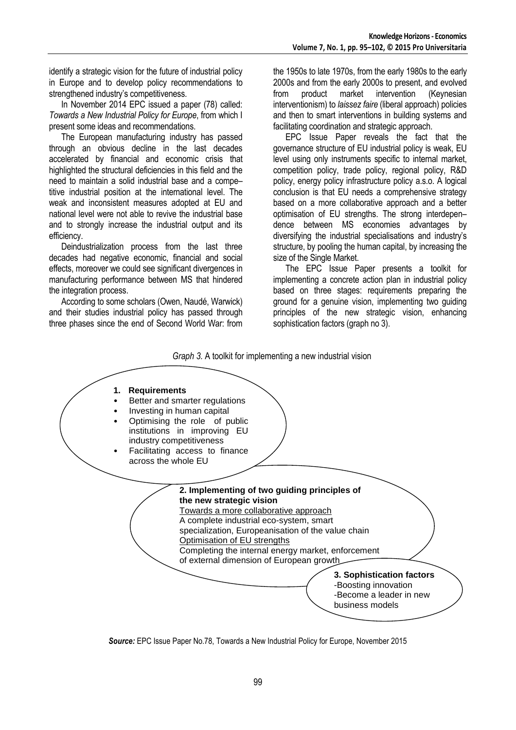identify a strategic vision for the future of industrial policy in Europe and to develop policy recommendations to strengthened industry's competitiveness.

In November 2014 EPC issued a paper (78) called: *Towards a New Industrial Policy for Europe*, from which I present some ideas and recommendations.

The European manufacturing industry has passed through an obvious decline in the last decades accelerated by financial and economic crisis that highlighted the structural deficiencies in this field and the need to maintain a solid industrial base and a compe– titive industrial position at the international level. The weak and inconsistent measures adopted at EU and national level were not able to revive the industrial base and to strongly increase the industrial output and its efficiency.

Deindustrialization process from the last three decades had negative economic, financial and social effects, moreover we could see significant divergences in manufacturing performance between MS that hindered the integration process.

According to some scholars (Owen, Naudé, Warwick) and their studies industrial policy has passed through three phases since the end of Second World War: from the 1950s to late 1970s, from the early 1980s to the early 2000s and from the early 2000s to present, and evolved from product market intervention (Keynesian interventionism) to *laissez faire* (liberal approach) policies and then to smart interventions in building systems and facilitating coordination and strategic approach.

EPC Issue Paper reveals the fact that the governance structure of EU industrial policy is weak, EU level using only instruments specific to internal market, competition policy, trade policy, regional policy, R&D policy, energy policy infrastructure policy a.s.o. A logical conclusion is that EU needs a comprehensive strategy based on a more collaborative approach and a better optimisation of EU strengths. The strong interdepen– dence between MS economies advantages by diversifying the industrial specialisations and industry's structure, by pooling the human capital, by increasing the size of the Single Market.

The EPC Issue Paper presents a toolkit for implementing a concrete action plan in industrial policy based on three stages: requirements preparing the ground for a genuine vision, implementing two guiding principles of the new strategic vision, enhancing sophistication factors (graph no 3).

#### *Graph 3.* A toolkit for implementing a new industrial vision



*Source:* EPC Issue Paper No.78, Towards a New Industrial Policy for Europe, November 2015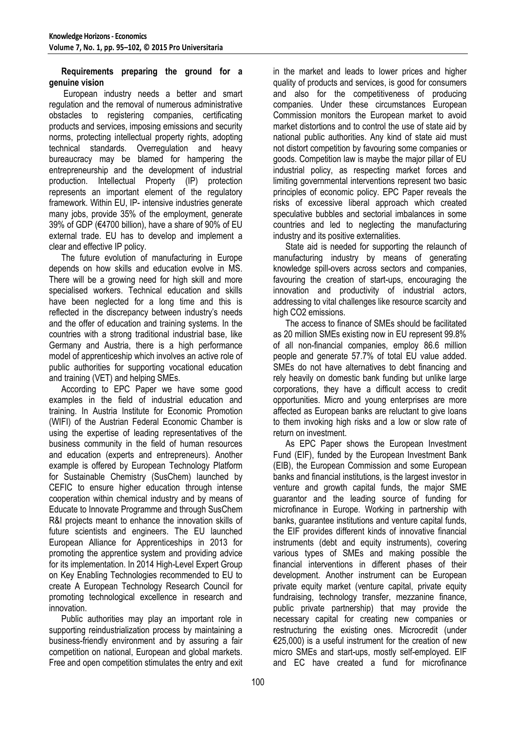## **Requirements preparing the ground for a genuine vision**

European industry needs a better and smart regulation and the removal of numerous administrative obstacles to registering companies, certificating products and services, imposing emissions and security norms, protecting intellectual property rights, adopting technical standards. Overregulation and heavy bureaucracy may be blamed for hampering the entrepreneurship and the development of industrial production. Intellectual Property (IP) protection represents an important element of the regulatory framework. Within EU, IP- intensive industries generate many jobs, provide 35% of the employment, generate 39% of GDP (€4700 billion), have a share of 90% of EU external trade. EU has to develop and implement a clear and effective IP policy.

The future evolution of manufacturing in Europe depends on how skills and education evolve in MS. There will be a growing need for high skill and more specialised workers. Technical education and skills have been neglected for a long time and this is reflected in the discrepancy between industry's needs and the offer of education and training systems. In the countries with a strong traditional industrial base, like Germany and Austria, there is a high performance model of apprenticeship which involves an active role of public authorities for supporting vocational education and training (VET) and helping SMEs.

According to EPC Paper we have some good examples in the field of industrial education and training. In Austria Institute for Economic Promotion (WIFI) of the Austrian Federal Economic Chamber is using the expertise of leading representatives of the business community in the field of human resources and education (experts and entrepreneurs). Another example is offered by European Technology Platform for Sustainable Chemistry (SusChem) launched by CEFIC to ensure higher education through intense cooperation within chemical industry and by means of Educate to Innovate Programme and through SusChem R&I projects meant to enhance the innovation skills of future scientists and engineers. The EU launched European Alliance for Apprenticeships in 2013 for promoting the apprentice system and providing advice for its implementation. In 2014 High-Level Expert Group on Key Enabling Technologies recommended to EU to create A European Technology Research Council for promoting technological excellence in research and innovation.

Public authorities may play an important role in supporting reindustrialization process by maintaining a business-friendly environment and by assuring a fair competition on national, European and global markets. Free and open competition stimulates the entry and exit in the market and leads to lower prices and higher quality of products and services, is good for consumers and also for the competitiveness of producing companies. Under these circumstances European Commission monitors the European market to avoid market distortions and to control the use of state aid by national public authorities. Any kind of state aid must not distort competition by favouring some companies or goods. Competition law is maybe the major pillar of EU industrial policy, as respecting market forces and limiting governmental interventions represent two basic principles of economic policy. EPC Paper reveals the risks of excessive liberal approach which created speculative bubbles and sectorial imbalances in some countries and led to neglecting the manufacturing industry and its positive externalities.

State aid is needed for supporting the relaunch of manufacturing industry by means of generating knowledge spill-overs across sectors and companies, favouring the creation of start-ups, encouraging the innovation and productivity of industrial actors, addressing to vital challenges like resource scarcity and high CO2 emissions.

The access to finance of SMEs should be facilitated as 20 million SMEs existing now in EU represent 99.8% of all non-financial companies, employ 86.6 million people and generate 57.7% of total EU value added. SMEs do not have alternatives to debt financing and rely heavily on domestic bank funding but unlike large corporations, they have a difficult access to credit opportunities. Micro and young enterprises are more affected as European banks are reluctant to give loans to them invoking high risks and a low or slow rate of return on investment.

As EPC Paper shows the European Investment Fund (EIF), funded by the European Investment Bank (EIB), the European Commission and some European banks and financial institutions, is the largest investor in venture and growth capital funds, the major SME guarantor and the leading source of funding for microfinance in Europe. Working in partnership with banks, guarantee institutions and venture capital funds, the EIF provides different kinds of innovative financial instruments (debt and equity instruments), covering various types of SMEs and making possible the financial interventions in different phases of their development. Another instrument can be European private equity market (venture capital, private equity fundraising, technology transfer, mezzanine finance, public private partnership) that may provide the necessary capital for creating new companies or restructuring the existing ones. Microcredit (under €25,000) is a useful instrument for the creation of new micro SMEs and start-ups, mostly self-employed. EIF and EC have created a fund for microfinance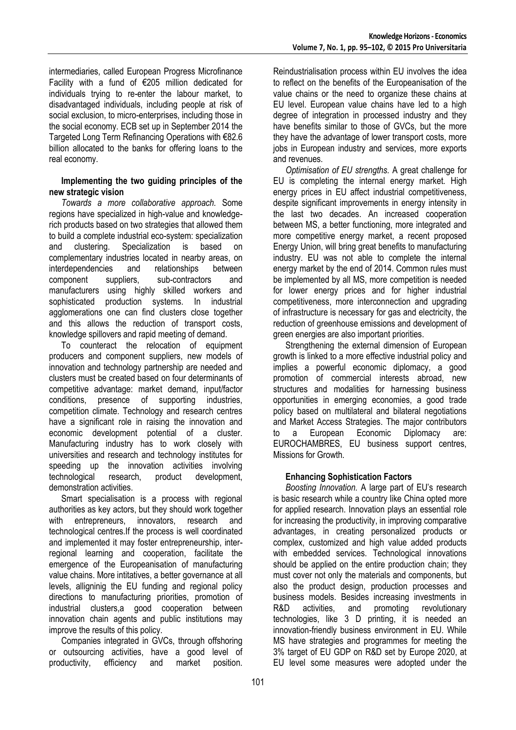intermediaries, called European Progress Microfinance Facility with a fund of €205 million dedicated for individuals trying to re-enter the labour market, to disadvantaged individuals, including people at risk of social exclusion, to micro-enterprises, including those in the social economy. ECB set up in September 2014 the Targeted Long Term Refinancing Operations with €82.6 billion allocated to the banks for offering loans to the real economy.

### **Implementing the two guiding principles of the new strategic vision**

*Towards a more collaborative approach.* Some regions have specialized in high-value and knowledgerich products based on two strategies that allowed them to build a complete industrial eco-system: specialization and clustering. Specialization is based on complementary industries located in nearby areas, on interdependencies and relationships between component suppliers, sub-contractors and manufacturers using highly skilled workers and sophisticated production systems. In industrial agglomerations one can find clusters close together and this allows the reduction of transport costs, knowledge spillovers and rapid meeting of demand.

To counteract the relocation of equipment producers and component suppliers, new models of innovation and technology partnership are needed and clusters must be created based on four determinants of competitive advantage: market demand, input/factor conditions, presence of supporting industries, competition climate. Technology and research centres have a significant role in raising the innovation and economic development potential of a cluster. Manufacturing industry has to work closely with universities and research and technology institutes for speeding up the innovation activities involving technological research, product development, demonstration activities.

Smart specialisation is a process with regional authorities as key actors, but they should work together with entrepreneurs, innovators, research and technological centres.If the process is well coordinated and implemented it may foster entrepreneurship, interregional learning and cooperation, facilitate the emergence of the Europeanisation of manufacturing value chains. More intitatives, a better governance at all levels, alligninig the EU funding and regional policy directions to manufacturing priorities, promotion of industrial clusters,a good cooperation between innovation chain agents and public institutions may improve the results of this policy.

Companies integrated in GVCs, through offshoring or outsourcing activities, have a good level of productivity, efficiency and market position.

Reindustrialisation process within EU involves the idea to reflect on the benefits of the Europeanisation of the value chains or the need to organize these chains at EU level. European value chains have led to a high degree of integration in processed industry and they have benefits similar to those of GVCs, but the more they have the advantage of lower transport costs, more jobs in European industry and services, more exports and revenues.

*Optimisation of EU strengths.* A great challenge for EU is completing the internal energy market. High energy prices in EU affect industrial competitiveness, despite significant improvements in energy intensity in the last two decades. An increased cooperation between MS, a better functioning, more integrated and more competitive energy market, a recent proposed Energy Union, will bring great benefits to manufacturing industry. EU was not able to complete the internal energy market by the end of 2014. Common rules must be implemented by all MS, more competition is needed for lower energy prices and for higher industrial competitiveness, more interconnection and upgrading of infrastructure is necessary for gas and electricity, the reduction of greenhouse emissions and development of green energies are also important priorities.

Strengthening the external dimension of European growth is linked to a more effective industrial policy and implies a powerful economic diplomacy, a good promotion of commercial interests abroad, new structures and modalities for harnessing business opportunities in emerging economies, a good trade policy based on multilateral and bilateral negotiations and Market Access Strategies. The major contributors to a European Economic Diplomacy are: EUROCHAMBRES, EU business support centres, Missions for Growth.

## **Enhancing Sophistication Factors**

*Boosting Innovation.* A large part of EU's research is basic research while a country like China opted more for applied research. Innovation plays an essential role for increasing the productivity, in improving comparative advantages, in creating personalized products or complex, customized and high value added products with embedded services. Technological innovations should be applied on the entire production chain; they must cover not only the materials and components, but also the product design, production processes and business models. Besides increasing investments in R&D activities, and promoting revolutionary technologies, like 3 D printing, it is needed an innovation-friendly business environment in EU. While MS have strategies and programmes for meeting the 3% target of EU GDP on R&D set by Europe 2020, at EU level some measures were adopted under the